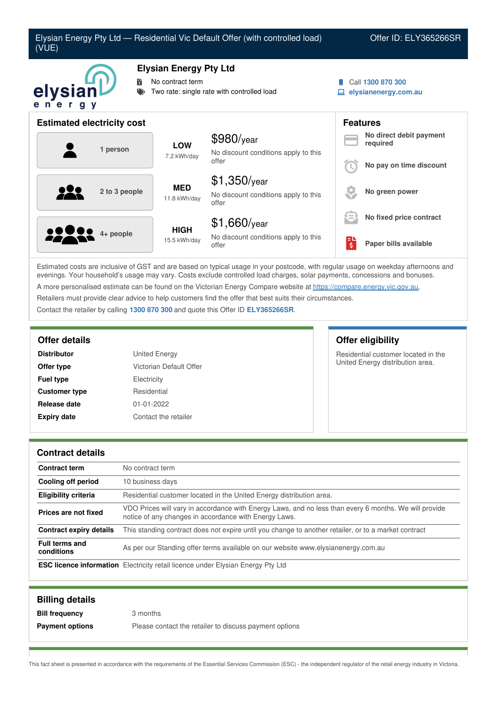

Estimated costs are inclusive of GST and are based on typical usage in your postcode, with regular usage on weekday afternoons and evenings. Your household's usage may vary. Costs exclude controlled load charges, solar payments, concessions and bonuses. A more personalised estimate can be found on the Victorian Energy Compare website at <https://compare.energy.vic.gov.au>. Retailers must provide clear advice to help customers find the offer that best suits their circumstances. Contact the retailer by calling **1300 870 300** and quote this Offer ID **ELY365266SR**.

| <b>Distributor</b>   | <b>United Energy</b>    |
|----------------------|-------------------------|
| Offer type           | Victorian Default Offer |
| <b>Fuel type</b>     | Electricity             |
| <b>Customer type</b> | Residential             |
| Release date         | $01 - 01 - 2022$        |
| <b>Expiry date</b>   | Contact the retailer    |

## **Offer details Offer eligibility**

Residential customer located in the United Energy distribution area.

### **Contract details**

| <b>Contract term</b>                | No contract term                                                                                                                                               |
|-------------------------------------|----------------------------------------------------------------------------------------------------------------------------------------------------------------|
| Cooling off period                  | 10 business days                                                                                                                                               |
| <b>Eligibility criteria</b>         | Residential customer located in the United Energy distribution area.                                                                                           |
| Prices are not fixed                | VDO Prices will vary in accordance with Energy Laws, and no less than every 6 months. We will provide<br>notice of any changes in accordance with Energy Laws. |
| Contract expiry details             | This standing contract does not expire until you change to another retailer, or to a market contract                                                           |
| <b>Full terms and</b><br>conditions | As per our Standing offer terms available on our website www.elysianenergy.com.au                                                                              |
|                                     | <b>ESC licence information</b> Electricity retail licence under Elysian Energy Pty Ltd                                                                         |

| <b>Billing details</b> |                                                        |
|------------------------|--------------------------------------------------------|
| <b>Bill frequency</b>  | 3 months                                               |
| <b>Payment options</b> | Please contact the retailer to discuss payment options |